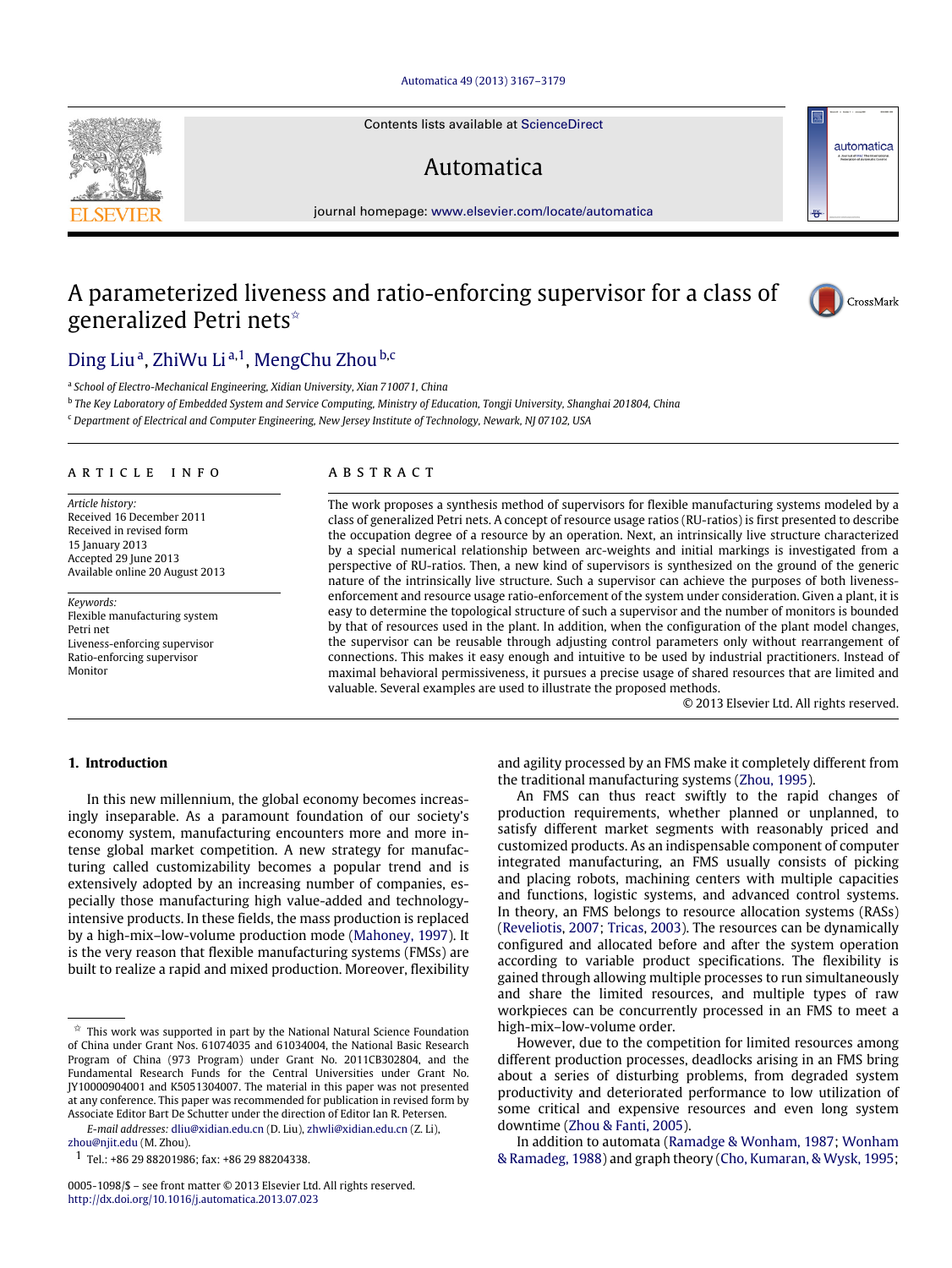#### [Automatica 49 \(2013\) 3167–3179](http://dx.doi.org/10.1016/j.automatica.2013.07.023)

Contents lists available at [ScienceDirect](http://www.elsevier.com/locate/automatica)

## Automatica

journal homepage: [www.elsevier.com/locate/automatica](http://www.elsevier.com/locate/automatica)

## A parameterized liveness and ratio-enforcing supervisor for a class of generalized Petri nets<sup>☆</sup>



automatica

## [Ding Liu](#page--1-0)<sup>[a](#page-0-1)</sup>, [ZhiWu Li](#page--1-1)<sup>[a,](#page-0-1)[1](#page-0-2)</sup>, [MengChu Zhou](#page--1-2)<sup>[b,](#page-0-3)[c](#page-0-4)</sup>

<span id="page-0-1"></span>a *School of Electro-Mechanical Engineering, Xidian University, Xian 710071, China*

<span id="page-0-3"></span>b *The Key Laboratory of Embedded System and Service Computing, Ministry of Education, Tongji University, Shanghai 201804, China*

<span id="page-0-4"></span><sup>c</sup> *Department of Electrical and Computer Engineering, New Jersey Institute of Technology, Newark, NJ 07102, USA*

#### A R T I C L E I N F O

*Article history:* Received 16 December 2011 Received in revised form 15 January 2013 Accepted 29 June 2013 Available online 20 August 2013

*Keywords:* Flexible manufacturing system Petri net Liveness-enforcing supervisor Ratio-enforcing supervisor Monitor

#### a b s t r a c t

The work proposes a synthesis method of supervisors for flexible manufacturing systems modeled by a class of generalized Petri nets. A concept of resource usage ratios (RU-ratios) is first presented to describe the occupation degree of a resource by an operation. Next, an intrinsically live structure characterized by a special numerical relationship between arc-weights and initial markings is investigated from a perspective of RU-ratios. Then, a new kind of supervisors is synthesized on the ground of the generic nature of the intrinsically live structure. Such a supervisor can achieve the purposes of both livenessenforcement and resource usage ratio-enforcement of the system under consideration. Given a plant, it is easy to determine the topological structure of such a supervisor and the number of monitors is bounded by that of resources used in the plant. In addition, when the configuration of the plant model changes, the supervisor can be reusable through adjusting control parameters only without rearrangement of connections. This makes it easy enough and intuitive to be used by industrial practitioners. Instead of maximal behavioral permissiveness, it pursues a precise usage of shared resources that are limited and valuable. Several examples are used to illustrate the proposed methods.

© 2013 Elsevier Ltd. All rights reserved.

#### **1. Introduction**

In this new millennium, the global economy becomes increasingly inseparable. As a paramount foundation of our society's economy system, manufacturing encounters more and more intense global market competition. A new strategy for manufacturing called customizability becomes a popular trend and is extensively adopted by an increasing number of companies, especially those manufacturing high value-added and technologyintensive products. In these fields, the mass production is replaced by a high-mix–low-volume production mode [\(Mahoney,](#page--1-3) [1997\)](#page--1-3). It is the very reason that flexible manufacturing systems (FMSs) are built to realize a rapid and mixed production. Moreover, flexibility

*E-mail addresses:* [dliu@xidian.edu.cn](mailto:dliu@xidian.edu.cn) (D. Liu), [zhwli@xidian.edu.cn](mailto:zhwli@xidian.edu.cn) (Z. Li), [zhou@njit.edu](mailto:zhou@njit.edu) (M. Zhou).

<span id="page-0-2"></span>1 Tel.: +86 29 88201986; fax: +86 29 88204338.

and agility processed by an FMS make it completely different from the traditional manufacturing systems [\(Zhou,](#page--1-4) [1995\)](#page--1-4).

An FMS can thus react swiftly to the rapid changes of production requirements, whether planned or unplanned, to satisfy different market segments with reasonably priced and customized products. As an indispensable component of computer integrated manufacturing, an FMS usually consists of picking and placing robots, machining centers with multiple capacities and functions, logistic systems, and advanced control systems. In theory, an FMS belongs to resource allocation systems (RASs) [\(Reveliotis,](#page--1-5) [2007;](#page--1-5) [Tricas,](#page--1-6) [2003\)](#page--1-6). The resources can be dynamically configured and allocated before and after the system operation according to variable product specifications. The flexibility is gained through allowing multiple processes to run simultaneously and share the limited resources, and multiple types of raw workpieces can be concurrently processed in an FMS to meet a high-mix–low-volume order.

However, due to the competition for limited resources among different production processes, deadlocks arising in an FMS bring about a series of disturbing problems, from degraded system productivity and deteriorated performance to low utilization of some critical and expensive resources and even long system downtime [\(Zhou](#page--1-7) [&](#page--1-7) [Fanti,](#page--1-7) [2005\)](#page--1-7).

In addition to automata [\(Ramadge](#page--1-8) [&](#page--1-8) [Wonham,](#page--1-8) [1987;](#page--1-8) [Wonham](#page--1-9) [&](#page--1-9) [Ramadeg,](#page--1-9) [1988\)](#page--1-9) and graph theory [\(Cho,](#page--1-10) [Kumaran,](#page--1-10) [&](#page--1-10) [Wysk,](#page--1-10) [1995;](#page--1-10)



<span id="page-0-0"></span><sup>✩</sup> This work was supported in part by the National Natural Science Foundation of China under Grant Nos. 61074035 and 61034004, the National Basic Research Program of China (973 Program) under Grant No. 2011CB302804, and the Fundamental Research Funds for the Central Universities under Grant No. JY10000904001 and K5051304007. The material in this paper was not presented at any conference. This paper was recommended for publication in revised form by Associate Editor Bart De Schutter under the direction of Editor Ian R. Petersen.

<sup>0005-1098/\$ –</sup> see front matter © 2013 Elsevier Ltd. All rights reserved. <http://dx.doi.org/10.1016/j.automatica.2013.07.023>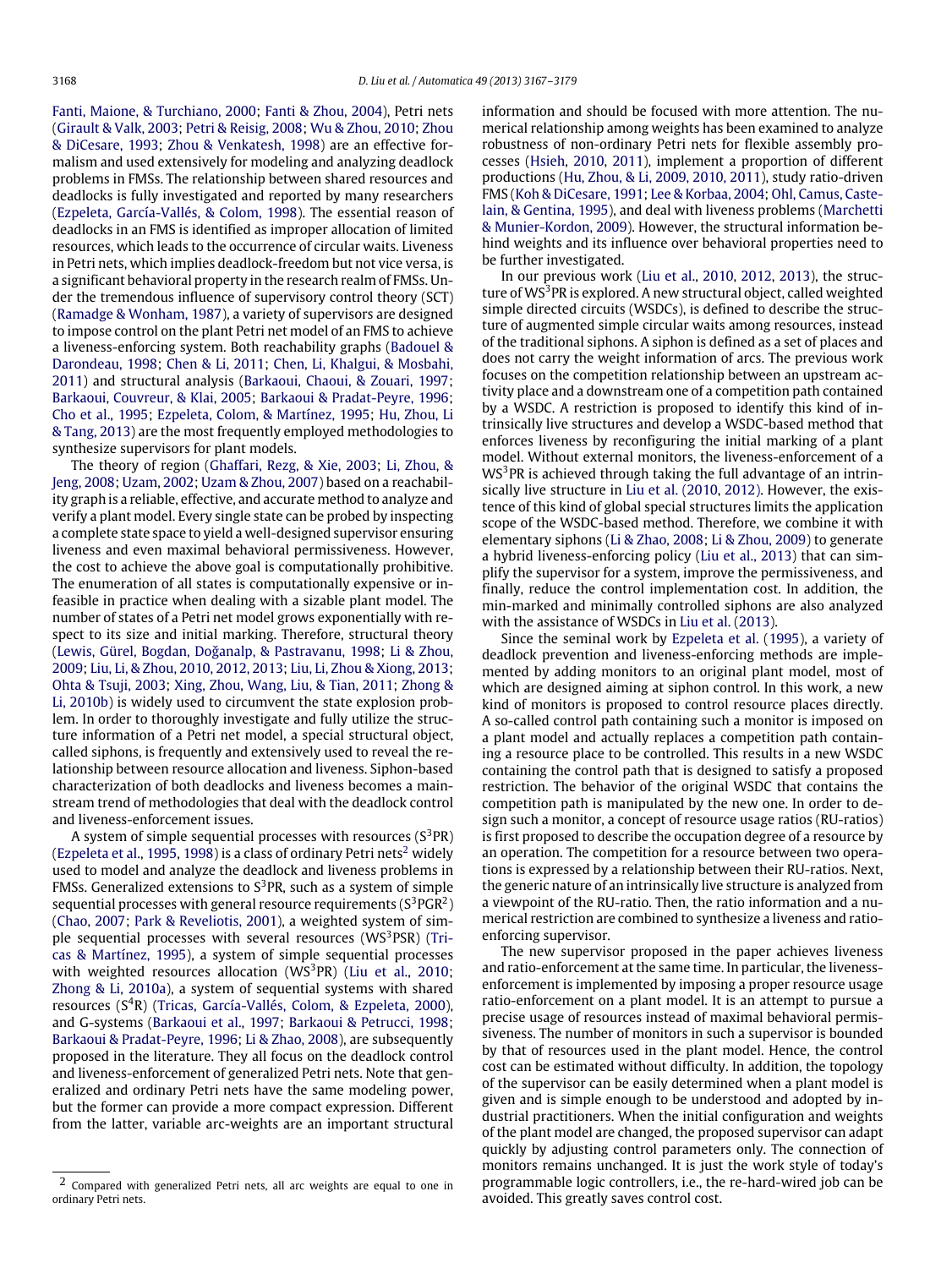[Fanti,](#page--1-11) [Maione,](#page--1-11) [&](#page--1-11) [Turchiano,](#page--1-11) [2000;](#page--1-11) [Fanti](#page--1-12) [&](#page--1-12) [Zhou,](#page--1-12) [2004\)](#page--1-12), Petri nets [\(Girault](#page--1-13) [&](#page--1-13) [Valk,](#page--1-13) [2003;](#page--1-13) [Petri](#page--1-14) [&](#page--1-14) [Reisig,](#page--1-14) [2008;](#page--1-14) [Wu](#page--1-15) [&](#page--1-15) [Zhou,](#page--1-15) [2010;](#page--1-15) [Zhou](#page--1-16) [&](#page--1-16) [DiCesare,](#page--1-16) [1993;](#page--1-16) [Zhou](#page--1-17) [&](#page--1-17) [Venkatesh,](#page--1-17) [1998\)](#page--1-17) are an effective formalism and used extensively for modeling and analyzing deadlock problems in FMSs. The relationship between shared resources and deadlocks is fully investigated and reported by many researchers [\(Ezpeleta,](#page--1-18) [García-Vallés,](#page--1-18) [&](#page--1-18) [Colom,](#page--1-18) [1998\)](#page--1-18). The essential reason of deadlocks in an FMS is identified as improper allocation of limited resources, which leads to the occurrence of circular waits. Liveness in Petri nets, which implies deadlock-freedom but not vice versa, is a significant behavioral property in the research realm of FMSs. Under the tremendous influence of supervisory control theory (SCT) [\(Ramadge](#page--1-8) [&](#page--1-8) [Wonham,](#page--1-8) [1987\)](#page--1-8), a variety of supervisors are designed to impose control on the plant Petri net model of an FMS to achieve a liveness-enforcing system. Both reachability graphs [\(Badouel](#page--1-19) [&](#page--1-19) [Darondeau,](#page--1-19) [1998;](#page--1-19) [Chen](#page--1-20) [&](#page--1-20) [Li,](#page--1-20) [2011;](#page--1-20) [Chen,](#page--1-21) [Li,](#page--1-21) [Khalgui,](#page--1-21) [&](#page--1-21) [Mosbahi,](#page--1-21) [2011\)](#page--1-21) and structural analysis [\(Barkaoui,](#page--1-22) [Chaoui,](#page--1-22) [&](#page--1-22) [Zouari,](#page--1-22) [1997;](#page--1-22) [Barkaoui,](#page--1-23) [Couvreur,](#page--1-23) [&](#page--1-23) [Klai,](#page--1-23) [2005;](#page--1-23) [Barkaoui](#page--1-24) [&](#page--1-24) [Pradat-Peyre,](#page--1-24) [1996;](#page--1-24) [Cho](#page--1-10) [et al.,](#page--1-10) [1995;](#page--1-10) [Ezpeleta,](#page--1-25) [Colom,](#page--1-25) [&](#page--1-25) [Martínez,](#page--1-25) [1995;](#page--1-25) [Hu,](#page--1-26) [Zhou,](#page--1-26) [Li](#page--1-26) [&](#page--1-26) [Tang,](#page--1-26) [2013\)](#page--1-26) are the most frequently employed methodologies to synthesize supervisors for plant models.

The theory of region [\(Ghaffari,](#page--1-27) [Rezg,](#page--1-27) [&](#page--1-27) [Xie,](#page--1-27) [2003;](#page--1-27) [Li,](#page--1-28) [Zhou,](#page--1-28) [&](#page--1-28) [Jeng,](#page--1-28) [2008;](#page--1-28) [Uzam,](#page--1-29) [2002;](#page--1-29) [Uzam](#page--1-30) [&](#page--1-30) [Zhou,](#page--1-30) [2007\)](#page--1-30) based on a reachability graph is a reliable, effective, and accurate method to analyze and verify a plant model. Every single state can be probed by inspecting a complete state space to yield a well-designed supervisor ensuring liveness and even maximal behavioral permissiveness. However, the cost to achieve the above goal is computationally prohibitive. The enumeration of all states is computationally expensive or infeasible in practice when dealing with a sizable plant model. The number of states of a Petri net model grows exponentially with respect to its size and initial marking. Therefore, structural theory [\(Lewis,](#page--1-31) [Gürel,](#page--1-31) [Bogdan,](#page--1-31) Doğanalp, [&](#page--1-32) [Pastravanu,](#page--1-31) [1998;](#page--1-31) [Li](#page--1-32) & [Zhou,](#page--1-32) [2009;](#page--1-32) [Liu,](#page--1-33) [Li,](#page--1-33) [&](#page--1-33) [Zhou,](#page--1-33) [2010,](#page--1-33) [2012,](#page--1-34) [2013;](#page--1-35) [Liu,](#page--1-36) [Li,](#page--1-36) [Zhou](#page--1-36) [&](#page--1-36) [Xiong,](#page--1-36) [2013;](#page--1-36) [Ohta](#page--1-37) [&](#page--1-37) [Tsuji,](#page--1-37) [2003;](#page--1-37) [Xing,](#page--1-38) [Zhou,](#page--1-38) [Wang,](#page--1-38) [Liu,](#page--1-38) [&](#page--1-38) [Tian,](#page--1-38) [2011;](#page--1-38) [Zhong](#page--1-39) [&](#page--1-39) [Li,](#page--1-39) [2010b\)](#page--1-39) is widely used to circumvent the state explosion problem. In order to thoroughly investigate and fully utilize the structure information of a Petri net model, a special structural object, called siphons, is frequently and extensively used to reveal the relationship between resource allocation and liveness. Siphon-based characterization of both deadlocks and liveness becomes a mainstream trend of methodologies that deal with the deadlock control and liveness-enforcement issues.

A system of simple sequential processes with resources  $(S^3PR)$ [\(Ezpeleta](#page--1-25) [et al.,](#page--1-25) [1995,](#page--1-25) [1998\)](#page--1-25) is a class of ordinary Petri nets<sup>[2](#page-1-0)</sup> widely used to model and analyze the deadlock and liveness problems in FMSs. Generalized extensions to  $S^3PR$ , such as a system of simple sequential processes with general resource requirements (S $^3$ PGR $^2$ ) [\(Chao,](#page--1-40) [2007;](#page--1-40) [Park](#page--1-41) [&](#page--1-41) [Reveliotis,](#page--1-41) [2001\)](#page--1-41), a weighted system of sim[p](#page--1-42)le sequential processes with several resources ( $WS<sup>3</sup>PSR$ ) [\(Tri](#page--1-42)[cas](#page--1-42) [&](#page--1-42) [Martínez,](#page--1-42) [1995\)](#page--1-42), a system of simple sequential processes with weighted resources allocation ( $WS<sup>3</sup>PR$ ) [\(Liu](#page--1-33) [et al.,](#page--1-33) [2010;](#page--1-33) [Zhong](#page--1-43) [&](#page--1-43) [Li,](#page--1-43) [2010a\)](#page--1-43), a system of sequential systems with shared resources (S<sup>4</sup>R) [\(Tricas,](#page--1-44) [García-Vallés,](#page--1-44) [Colom,](#page--1-44) [&](#page--1-44) [Ezpeleta,](#page--1-44) [2000\)](#page--1-44), and G-systems [\(Barkaoui](#page--1-22) [et al.,](#page--1-22) [1997;](#page--1-22) [Barkaoui](#page--1-45) [&](#page--1-45) [Petrucci,](#page--1-45) [1998;](#page--1-45) [Barkaoui](#page--1-24) [&](#page--1-24) [Pradat-Peyre,](#page--1-24) [1996;](#page--1-24) [Li](#page--1-46) [&](#page--1-46) [Zhao,](#page--1-46) [2008\)](#page--1-46), are subsequently proposed in the literature. They all focus on the deadlock control and liveness-enforcement of generalized Petri nets. Note that generalized and ordinary Petri nets have the same modeling power, but the former can provide a more compact expression. Different from the latter, variable arc-weights are an important structural information and should be focused with more attention. The numerical relationship among weights has been examined to analyze robustness of non-ordinary Petri nets for flexible assembly processes [\(Hsieh,](#page--1-47) [2010,](#page--1-47) [2011\)](#page--1-47), implement a proportion of different productions [\(Hu,](#page--1-48) [Zhou,](#page--1-48) [&](#page--1-48) [Li,](#page--1-48) [2009,](#page--1-48) [2010,](#page--1-49) [2011\)](#page--1-50), study ratio-driven [F](#page--1-53)MS [\(Koh](#page--1-51) [&](#page--1-51) [DiCesare,](#page--1-51) [1991;](#page--1-51) [Lee](#page--1-52) [&](#page--1-52) [Korbaa,](#page--1-52) [2004;](#page--1-52) [Ohl,](#page--1-53) [Camus,](#page--1-53) [Caste](#page--1-53)[lain,](#page--1-53) [&](#page--1-53) [Gentina,](#page--1-53) [1995\)](#page--1-53), and deal with liveness problems [\(Marchetti](#page--1-54) [&](#page--1-54) [Munier-Kordon,](#page--1-54) [2009\)](#page--1-54). However, the structural information behind weights and its influence over behavioral properties need to be further investigated.

In our previous work [\(Liu](#page--1-33) [et al.,](#page--1-33) [2010,](#page--1-33) [2012,](#page--1-33) [2013\)](#page--1-33), the structure of WS<sup>3</sup>PR is explored. A new structural object, called weighted simple directed circuits (WSDCs), is defined to describe the structure of augmented simple circular waits among resources, instead of the traditional siphons. A siphon is defined as a set of places and does not carry the weight information of arcs. The previous work focuses on the competition relationship between an upstream activity place and a downstream one of a competition path contained by a WSDC. A restriction is proposed to identify this kind of intrinsically live structures and develop a WSDC-based method that enforces liveness by reconfiguring the initial marking of a plant model. Without external monitors, the liveness-enforcement of a  $WS<sup>3</sup>PR$  is achieved through taking the full advantage of an intrinsically live structure in [Liu](#page--1-33) [et al.](#page--1-33) [\(2010](#page--1-33)[,](#page--1-34) [2012\).](#page--1-34) However, the existence of this kind of global special structures limits the application scope of the WSDC-based method. Therefore, we combine it with elementary siphons [\(Li](#page--1-46) [&](#page--1-46) [Zhao,](#page--1-46) [2008;](#page--1-46) [Li](#page--1-32) [&](#page--1-32) [Zhou,](#page--1-32) [2009\)](#page--1-32) to generate a hybrid liveness-enforcing policy [\(Liu](#page--1-35) [et al.,](#page--1-35) [2013\)](#page--1-35) that can simplify the supervisor for a system, improve the permissiveness, and finally, reduce the control implementation cost. In addition, the min-marked and minimally controlled siphons are also analyzed with the assistance of WSDCs in [Liu](#page--1-35) [et al.](#page--1-35) [\(2013\)](#page--1-35).

Since the seminal work by [Ezpeleta](#page--1-25) [et al.](#page--1-25) [\(1995\)](#page--1-25), a variety of deadlock prevention and liveness-enforcing methods are implemented by adding monitors to an original plant model, most of which are designed aiming at siphon control. In this work, a new kind of monitors is proposed to control resource places directly. A so-called control path containing such a monitor is imposed on a plant model and actually replaces a competition path containing a resource place to be controlled. This results in a new WSDC containing the control path that is designed to satisfy a proposed restriction. The behavior of the original WSDC that contains the competition path is manipulated by the new one. In order to design such a monitor, a concept of resource usage ratios (RU-ratios) is first proposed to describe the occupation degree of a resource by an operation. The competition for a resource between two operations is expressed by a relationship between their RU-ratios. Next, the generic nature of an intrinsically live structure is analyzed from a viewpoint of the RU-ratio. Then, the ratio information and a numerical restriction are combined to synthesize a liveness and ratioenforcing supervisor.

The new supervisor proposed in the paper achieves liveness and ratio-enforcement at the same time. In particular, the livenessenforcement is implemented by imposing a proper resource usage ratio-enforcement on a plant model. It is an attempt to pursue a precise usage of resources instead of maximal behavioral permissiveness. The number of monitors in such a supervisor is bounded by that of resources used in the plant model. Hence, the control cost can be estimated without difficulty. In addition, the topology of the supervisor can be easily determined when a plant model is given and is simple enough to be understood and adopted by industrial practitioners. When the initial configuration and weights of the plant model are changed, the proposed supervisor can adapt quickly by adjusting control parameters only. The connection of monitors remains unchanged. It is just the work style of today's programmable logic controllers, i.e., the re-hard-wired job can be avoided. This greatly saves control cost.

<span id="page-1-0"></span><sup>2</sup> Compared with generalized Petri nets, all arc weights are equal to one in ordinary Petri nets.